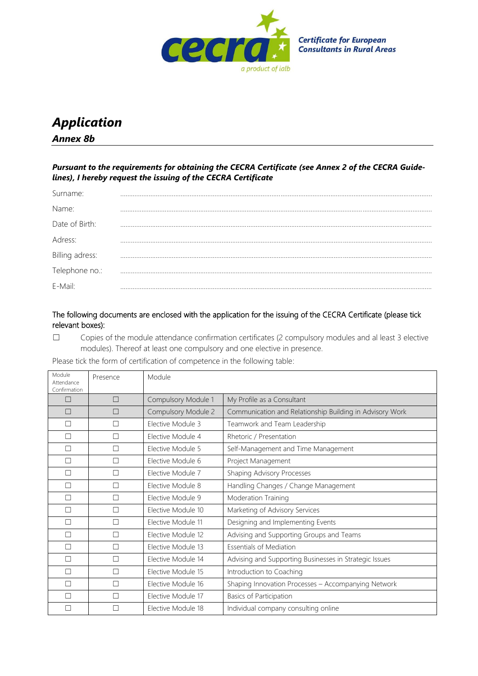

## *Application Annex 8b*

*Pursuant to the requirements for obtaining the CECRA Certificate (see Annex 2 of the CECRA Guidelines), I hereby request the issuing of the CECRA Certificate*

| Surname:        |  |
|-----------------|--|
| Name:           |  |
| Date of Birth:  |  |
| Adress:         |  |
| Billing adress: |  |
| Telephone no.:  |  |
| E-Mail:         |  |

## The following documents are enclosed with the application for the issuing of the CECRA Certificate (please tick relevant boxes):

☐ Copies of the module attendance confirmation certificates (2 compulsory modules and al least 3 elective modules). Thereof at least one compulsory and one elective in presence.

Please tick the form of certification of competence in the following table:

| Module<br>Attendance<br>Confirmation | Presence | Module              |                                                          |
|--------------------------------------|----------|---------------------|----------------------------------------------------------|
| П                                    | П        | Compulsory Module 1 | My Profile as a Consultant                               |
| П                                    |          | Compulsory Module 2 | Communication and Relationship Building in Advisory Work |
| $\Box$                               |          | Elective Module 3   | Teamwork and Team Leadership                             |
| $\Box$                               |          | Elective Module 4   | Rhetoric / Presentation                                  |
| П                                    |          | Elective Module 5   | Self-Management and Time Management                      |
| П                                    | П        | Elective Module 6   | Project Management                                       |
| П                                    |          | Elective Module 7   | Shaping Advisory Processes                               |
| П                                    | П        | Elective Module 8   | Handling Changes / Change Management                     |
| $\Box$                               | П        | Elective Module 9   | Moderation Training                                      |
| П                                    | П        | Elective Module 10  | Marketing of Advisory Services                           |
| $\Box$                               | П        | Elective Module 11  | Designing and Implementing Events                        |
| $\Box$                               |          | Elective Module 12  | Advising and Supporting Groups and Teams                 |
| $\Box$                               | П        | Elective Module 13  | <b>Essentials of Mediation</b>                           |
| □                                    |          | Elective Module 14  | Advising and Supporting Businesses in Strategic Issues   |
| П                                    |          | Elective Module 15  | Introduction to Coaching                                 |
| П                                    |          | Elective Module 16  | Shaping Innovation Processes - Accompanying Network      |
| П                                    |          | Elective Module 17  | Basics of Participation                                  |
| П                                    |          | Elective Module 18  | Individual company consulting online                     |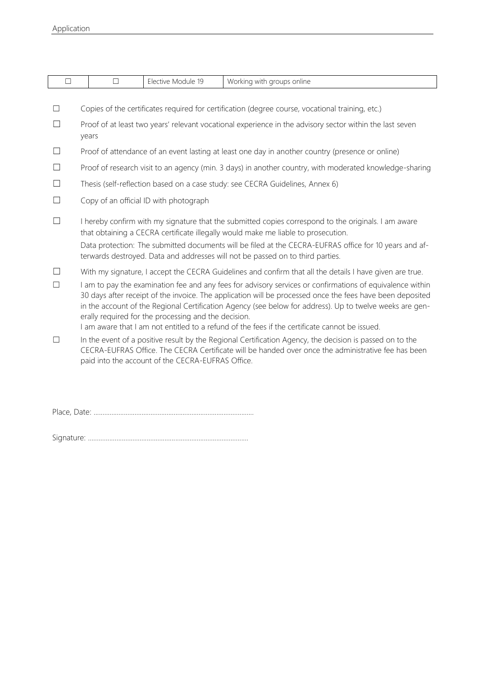| $\Box$            |                                                                                                                                                                                                                                                                                                                                                                                                                                                                                                                                                                                                                                                                                                                      | $\Box$ | Elective Module 19                                | Working with groups online                                                                          |  |  |  |
|-------------------|----------------------------------------------------------------------------------------------------------------------------------------------------------------------------------------------------------------------------------------------------------------------------------------------------------------------------------------------------------------------------------------------------------------------------------------------------------------------------------------------------------------------------------------------------------------------------------------------------------------------------------------------------------------------------------------------------------------------|--------|---------------------------------------------------|-----------------------------------------------------------------------------------------------------|--|--|--|
|                   |                                                                                                                                                                                                                                                                                                                                                                                                                                                                                                                                                                                                                                                                                                                      |        |                                                   |                                                                                                     |  |  |  |
| П                 | Copies of the certificates required for certification (degree course, vocational training, etc.)                                                                                                                                                                                                                                                                                                                                                                                                                                                                                                                                                                                                                     |        |                                                   |                                                                                                     |  |  |  |
|                   | Proof of at least two years' relevant vocational experience in the advisory sector within the last seven<br>years                                                                                                                                                                                                                                                                                                                                                                                                                                                                                                                                                                                                    |        |                                                   |                                                                                                     |  |  |  |
|                   | Proof of attendance of an event lasting at least one day in another country (presence or online)                                                                                                                                                                                                                                                                                                                                                                                                                                                                                                                                                                                                                     |        |                                                   |                                                                                                     |  |  |  |
|                   | Proof of research visit to an agency (min. 3 days) in another country, with moderated knowledge-sharing                                                                                                                                                                                                                                                                                                                                                                                                                                                                                                                                                                                                              |        |                                                   |                                                                                                     |  |  |  |
|                   | Thesis (self-reflection based on a case study: see CECRA Guidelines, Annex 6)                                                                                                                                                                                                                                                                                                                                                                                                                                                                                                                                                                                                                                        |        |                                                   |                                                                                                     |  |  |  |
|                   | Copy of an official ID with photograph                                                                                                                                                                                                                                                                                                                                                                                                                                                                                                                                                                                                                                                                               |        |                                                   |                                                                                                     |  |  |  |
|                   | I hereby confirm with my signature that the submitted copies correspond to the originals. I am aware<br>that obtaining a CECRA certificate illegally would make me liable to prosecution.<br>Data protection: The submitted documents will be filed at the CECRA-EUFRAS office for 10 years and af-<br>terwards destroyed. Data and addresses will not be passed on to third parties.                                                                                                                                                                                                                                                                                                                                |        |                                                   |                                                                                                     |  |  |  |
| $\vert \ \ \vert$ | With my signature, I accept the CECRA Guidelines and confirm that all the details I have given are true.<br>I am to pay the examination fee and any fees for advisory services or confirmations of equivalence within<br>30 days after receipt of the invoice. The application will be processed once the fees have been deposited<br>in the account of the Regional Certification Agency (see below for address). Up to twelve weeks are gen-<br>erally required for the processing and the decision.<br>I am aware that I am not entitled to a refund of the fees if the certificate cannot be issued.<br>In the event of a positive result by the Regional Certification Agency, the decision is passed on to the |        |                                                   |                                                                                                     |  |  |  |
|                   |                                                                                                                                                                                                                                                                                                                                                                                                                                                                                                                                                                                                                                                                                                                      |        | paid into the account of the CECRA-EUFRAS Office. | CECRA-EUFRAS Office. The CECRA Certificate will be handed over once the administrative fee has been |  |  |  |

Place, Date: ..........................................................................................

Signature: ..........................................................................................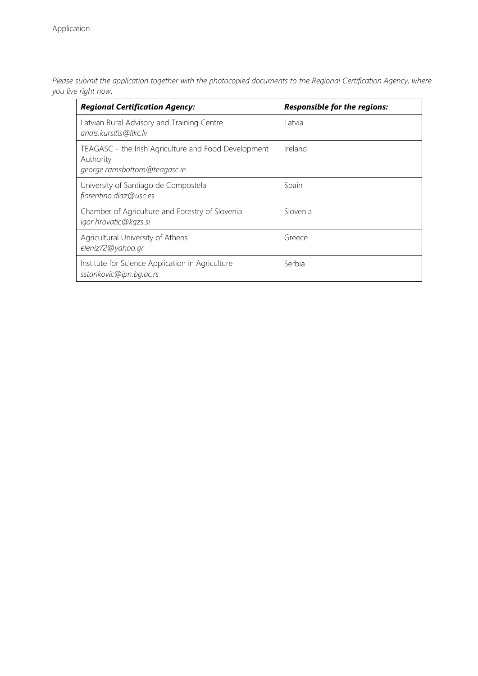*Please submit the application together with the photocopied documents to the Regional Certification Agency, where you live right now:*

| <b>Regional Certification Agency:</b>                                                             | <b>Responsible for the regions:</b> |
|---------------------------------------------------------------------------------------------------|-------------------------------------|
| Latvian Rural Advisory and Training Centre<br>andis.kursitis@llkc.lv                              | Latvia                              |
| TEAGASC – the Irish Agriculture and Food Development<br>Authority<br>george.ramsbottom@teagasc.ie | Ireland                             |
| University of Santiago de Compostela<br>florentino.diaz@usc.es                                    | Spain                               |
| Chamber of Agriculture and Forestry of Slovenia<br>igor.hrovatic@kgzs.si                          | Slovenia                            |
| Agricultural University of Athens<br>eleniz72@yahoo.gr                                            | Greece                              |
| Institute for Science Application in Agriculture<br>sstankovic@ipn.bg.ac.rs                       | Serbia                              |